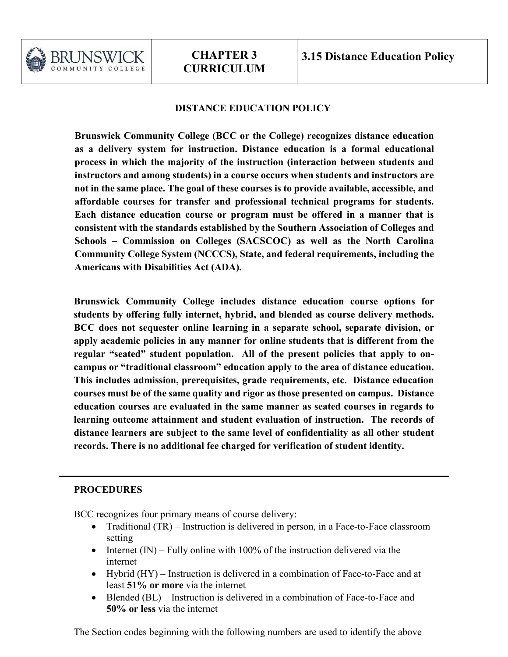

# **DISTANCE EDUCATION POLICY**

**Brunswick Community College (BCC or the College) recognizes distance education as a delivery system for instruction. Distance education is a formal educational process in which the majority of the instruction (interaction between students and instructors and among students) in a course occurs when students and instructors are not in the same place. The goal of these courses is to provide available, accessible, and affordable courses for transfer and professional technical programs for students. Each distance education course or program must be offered in a manner that is consistent with the standards established by the Southern Association of Colleges and Schools – Commission on Colleges (SACSCOC) as well as the North Carolina Community College System (NCCCS), State, and federal requirements, including the Americans with Disabilities Act (ADA).**

**Brunswick Community College includes distance education course options for students by offering fully internet, hybrid, and blended as course delivery methods. BCC does not sequester online learning in a separate school, separate division, or apply academic policies in any manner for online students that is different from the regular "seated" student population. All of the present policies that apply to oncampus or "traditional classroom" education apply to the area of distance education. This includes admission, prerequisites, grade requirements, etc. Distance education courses must be of the same quality and rigor as those presented on campus. Distance education courses are evaluated in the same manner as seated courses in regards to learning outcome attainment and student evaluation of instruction. The records of distance learners are subject to the same level of confidentiality as all other student records. There is no additional fee charged for verification of student identity.**

### **PROCEDURES**

BCC recognizes four primary means of course delivery:

- Traditional (TR) Instruction is delivered in person, in a Face-to-Face classroom setting
- Internet  $(IN)$  Fully online with 100% of the instruction delivered via the internet
- Hybrid (HY) Instruction is delivered in a combination of Face-to-Face and at least **51% or more** via the internet
- Blended (BL) Instruction is delivered in a combination of Face-to-Face and **50% or less** via the internet

The Section codes beginning with the following numbers are used to identify the above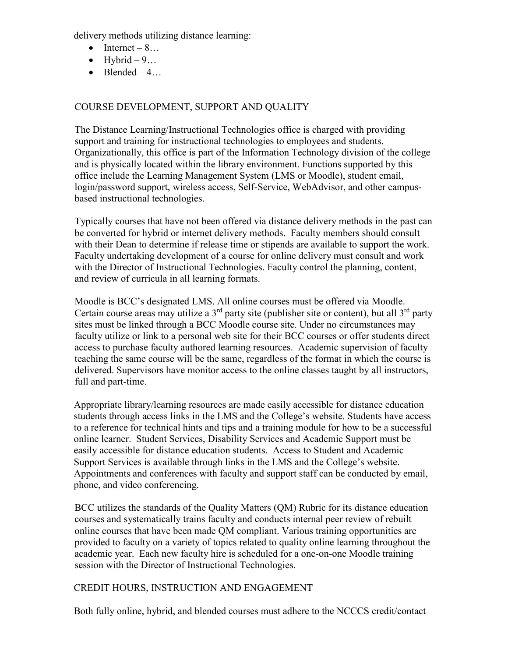delivery methods utilizing distance learning:

- Internet  $8...$
- Hybrid  $-9...$
- Blended  $-4...$

# COURSE DEVELOPMENT, SUPPORT AND QUALITY

The Distance Learning/Instructional Technologies office is charged with providing support and training for instructional technologies to employees and students. Organizationally, this office is part of the Information Technology division of the college and is physically located within the library environment. Functions supported by this office include the Learning Management System (LMS or Moodle), student email, login/password support, wireless access, Self-Service, WebAdvisor, and other campusbased instructional technologies.

Typically courses that have not been offered via distance delivery methods in the past can be converted for hybrid or internet delivery methods. Faculty members should consult with their Dean to determine if release time or stipends are available to support the work. Faculty undertaking development of a course for online delivery must consult and work with the Director of Instructional Technologies. Faculty control the planning, content, and review of curricula in all learning formats.

Moodle is BCC's designated LMS. All online courses must be offered via Moodle. Certain course areas may utilize a  $3<sup>rd</sup>$  party site (publisher site or content), but all  $3<sup>rd</sup>$  party sites must be linked through a BCC Moodle course site. Under no circumstances may faculty utilize or link to a personal web site for their BCC courses or offer students direct access to purchase faculty authored learning resources. Academic supervision of faculty teaching the same course will be the same, regardless of the format in which the course is delivered. Supervisors have monitor access to the online classes taught by all instructors, full and part-time.

Appropriate library/learning resources are made easily accessible for distance education students through access links in the LMS and the College's website. Students have access to a reference for technical hints and tips and a training module for how to be a successful online learner. Student Services, Disability Services and Academic Support must be easily accessible for distance education students. Access to Student and Academic Support Services is available through links in the LMS and the College's website. Appointments and conferences with faculty and support staff can be conducted by email, phone, and video conferencing.

BCC utilizes the standards of the Quality Matters (QM) Rubric for its distance education courses and systematically trains faculty and conducts internal peer review of rebuilt online courses that have been made QM compliant. Various training opportunities are provided to faculty on a variety of topics related to quality online learning throughout the academic year. Each new faculty hire is scheduled for a one-on-one Moodle training session with the Director of Instructional Technologies.

# CREDIT HOURS, INSTRUCTION AND ENGAGEMENT

Both fully online, hybrid, and blended courses must adhere to the NCCCS credit/contact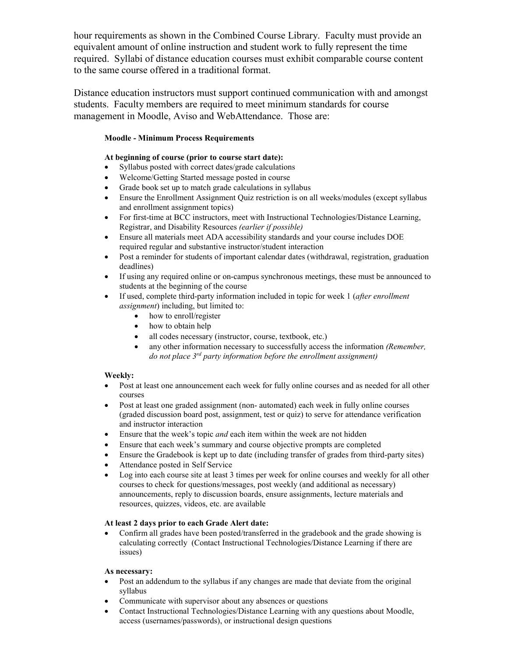hour requirements as shown in the Combined Course Library. Faculty must provide an equivalent amount of online instruction and student work to fully represent the time required. Syllabi of distance education courses must exhibit comparable course content to the same course offered in a traditional format.

Distance education instructors must support continued communication with and amongst students. Faculty members are required to meet minimum standards for course management in Moodle, Aviso and WebAttendance. Those are:

### **Moodle - Minimum Process Requirements**

### **At beginning of course (prior to course start date):**

- Syllabus posted with correct dates/grade calculations
- Welcome/Getting Started message posted in course
- Grade book set up to match grade calculations in syllabus
- Ensure the Enrollment Assignment Quiz restriction is on all weeks/modules (except syllabus and enrollment assignment topics)
- For first-time at BCC instructors, meet with Instructional Technologies/Distance Learning, Registrar, and Disability Resources *(earlier if possible)*
- Ensure all materials meet ADA accessibility standards and your course includes DOE required regular and substantive instructor/student interaction
- Post a reminder for students of important calendar dates (withdrawal, registration, graduation deadlines)
- If using any required online or on-campus synchronous meetings, these must be announced to students at the beginning of the course
- If used, complete third-party information included in topic for week 1 (*after enrollment assignment*) including, but limited to:
	- how to enroll/register
	- how to obtain help
	- all codes necessary (instructor, course, textbook, etc.)
	- any other information necessary to successfully access the information *(Remember, do not place 3rd party information before the enrollment assignment)*

### **Weekly:**

- Post at least one announcement each week for fully online courses and as needed for all other courses
- Post at least one graded assignment (non- automated) each week in fully online courses (graded discussion board post, assignment, test or quiz) to serve for attendance verification and instructor interaction
- Ensure that the week's topic *and* each item within the week are not hidden
- Ensure that each week's summary and course objective prompts are completed
- Ensure the Gradebook is kept up to date (including transfer of grades from third-party sites)
- Attendance posted in Self Service
- Log into each course site at least 3 times per week for online courses and weekly for all other courses to check for questions/messages, post weekly (and additional as necessary) announcements, reply to discussion boards, ensure assignments, lecture materials and resources, quizzes, videos, etc. are available

### **At least 2 days prior to each Grade Alert date:**

• Confirm all grades have been posted/transferred in the gradebook and the grade showing is calculating correctly (Contact Instructional Technologies/Distance Learning if there are issues)

### **As necessary:**

- Post an addendum to the syllabus if any changes are made that deviate from the original syllabus
- Communicate with supervisor about any absences or questions
- Contact Instructional Technologies/Distance Learning with any questions about Moodle, access (usernames/passwords), or instructional design questions